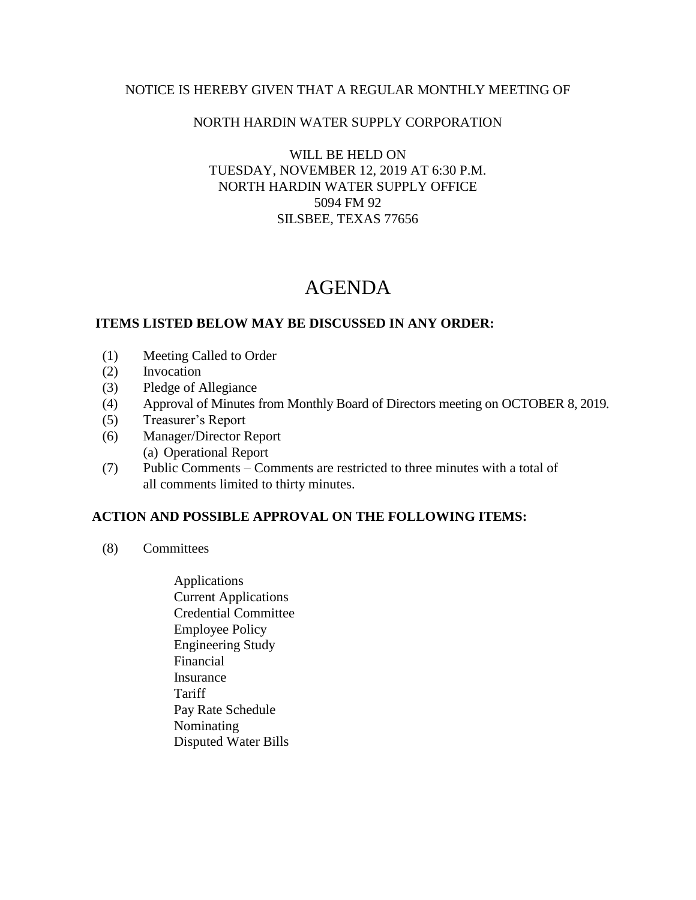# NOTICE IS HEREBY GIVEN THAT A REGULAR MONTHLY MEETING OF

### NORTH HARDIN WATER SUPPLY CORPORATION

### WILL BE HELD ON TUESDAY, NOVEMBER 12, 2019 AT 6:30 P.M. NORTH HARDIN WATER SUPPLY OFFICE 5094 FM 92 SILSBEE, TEXAS 77656

# AGENDA

#### **ITEMS LISTED BELOW MAY BE DISCUSSED IN ANY ORDER:**

- (1) Meeting Called to Order
- (2) Invocation
- (3) Pledge of Allegiance
- (4) Approval of Minutes from Monthly Board of Directors meeting on OCTOBER 8, 2019.
- (5) Treasurer's Report
- (6) Manager/Director Report (a) Operational Report
- (7) Public Comments Comments are restricted to three minutes with a total of all comments limited to thirty minutes.

# **ACTION AND POSSIBLE APPROVAL ON THE FOLLOWING ITEMS:**

- (8) Committees
	- Applications Current Applications Credential Committee Employee Policy Engineering Study Financial Insurance **Tariff**  Pay Rate Schedule Nominating Disputed Water Bills